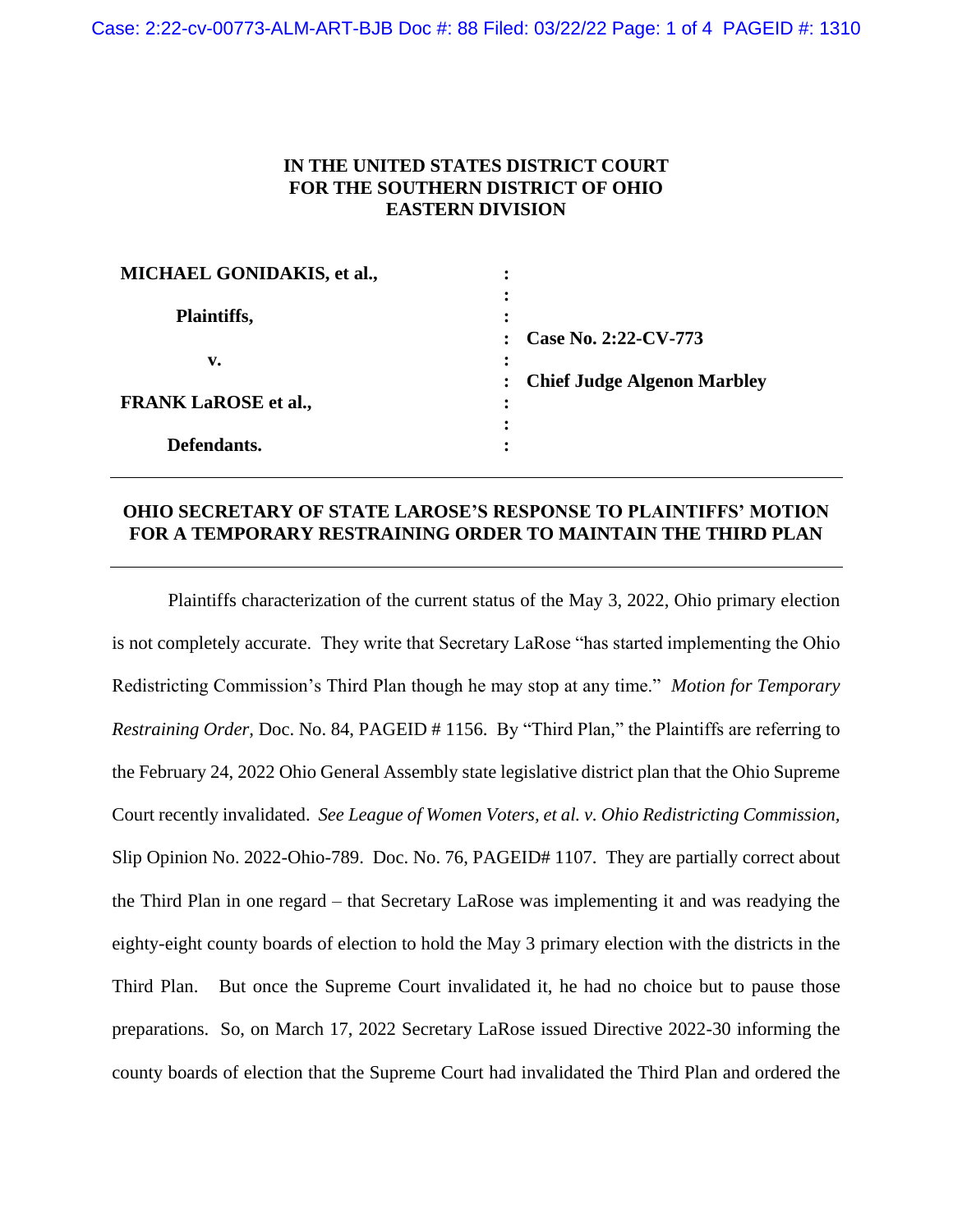## **IN THE UNITED STATES DISTRICT COURT FOR THE SOUTHERN DISTRICT OF OHIO EASTERN DIVISION**

| MICHAEL GONIDAKIS, et al.,  |                                    |
|-----------------------------|------------------------------------|
| Plaintiffs,                 | Case No. 2:22-CV-773               |
| v.                          |                                    |
| <b>FRANK LaROSE et al.,</b> | <b>Chief Judge Algenon Marbley</b> |
| Defendants.                 |                                    |

## **OHIO SECRETARY OF STATE LAROSE'S RESPONSE TO PLAINTIFFS' MOTION FOR A TEMPORARY RESTRAINING ORDER TO MAINTAIN THE THIRD PLAN**

Plaintiffs characterization of the current status of the May 3, 2022, Ohio primary election is not completely accurate. They write that Secretary LaRose "has started implementing the Ohio Redistricting Commission's Third Plan though he may stop at any time." *Motion for Temporary Restraining Order,* Doc. No. 84, PAGEID # 1156. By "Third Plan," the Plaintiffs are referring to the February 24, 2022 Ohio General Assembly state legislative district plan that the Ohio Supreme Court recently invalidated. *See League of Women Voters, et al. v. Ohio Redistricting Commission,*  Slip Opinion No. 2022-Ohio-789. Doc. No. 76, PAGEID# 1107. They are partially correct about the Third Plan in one regard – that Secretary LaRose was implementing it and was readying the eighty-eight county boards of election to hold the May 3 primary election with the districts in the Third Plan. But once the Supreme Court invalidated it, he had no choice but to pause those preparations. So, on March 17, 2022 Secretary LaRose issued Directive 2022-30 informing the county boards of election that the Supreme Court had invalidated the Third Plan and ordered the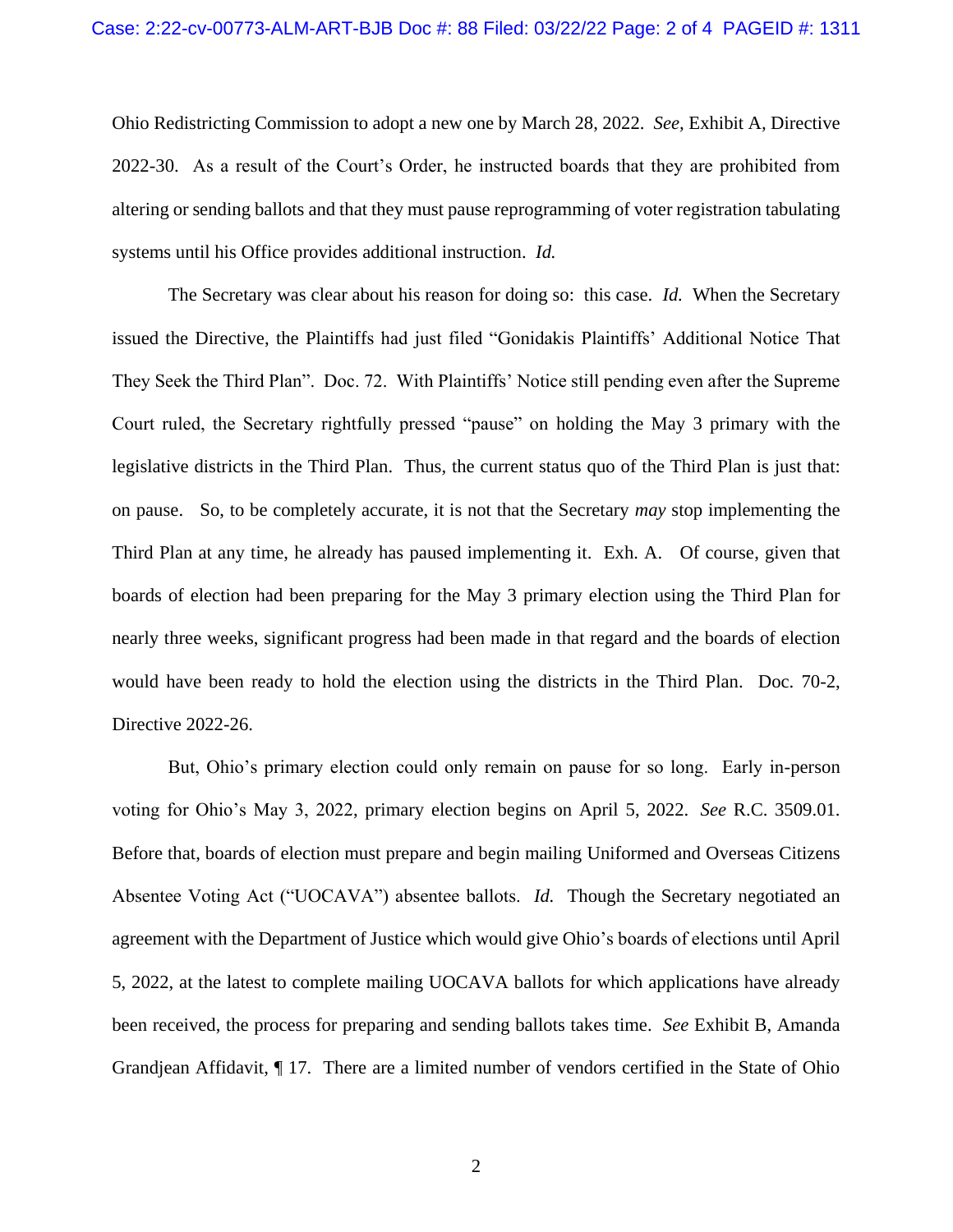Ohio Redistricting Commission to adopt a new one by March 28, 2022. *See,* Exhibit A*,* Directive 2022-30. As a result of the Court's Order, he instructed boards that they are prohibited from altering or sending ballots and that they must pause reprogramming of voter registration tabulating systems until his Office provides additional instruction. *Id.* 

The Secretary was clear about his reason for doing so: this case. *Id.* When the Secretary issued the Directive, the Plaintiffs had just filed "Gonidakis Plaintiffs' Additional Notice That They Seek the Third Plan". Doc. 72. With Plaintiffs' Notice still pending even after the Supreme Court ruled, the Secretary rightfully pressed "pause" on holding the May 3 primary with the legislative districts in the Third Plan. Thus, the current status quo of the Third Plan is just that: on pause. So, to be completely accurate, it is not that the Secretary *may* stop implementing the Third Plan at any time, he already has paused implementing it. Exh. A. Of course, given that boards of election had been preparing for the May 3 primary election using the Third Plan for nearly three weeks, significant progress had been made in that regard and the boards of election would have been ready to hold the election using the districts in the Third Plan. Doc. 70-2, Directive 2022-26.

But, Ohio's primary election could only remain on pause for so long. Early in-person voting for Ohio's May 3, 2022, primary election begins on April 5, 2022. *See* R.C. 3509.01. Before that, boards of election must prepare and begin mailing Uniformed and Overseas Citizens Absentee Voting Act ("UOCAVA") absentee ballots. *Id.* Though the Secretary negotiated an agreement with the Department of Justice which would give Ohio's boards of elections until April 5, 2022, at the latest to complete mailing UOCAVA ballots for which applications have already been received, the process for preparing and sending ballots takes time. *See* Exhibit B, Amanda Grandjean Affidavit, ¶ 17. There are a limited number of vendors certified in the State of Ohio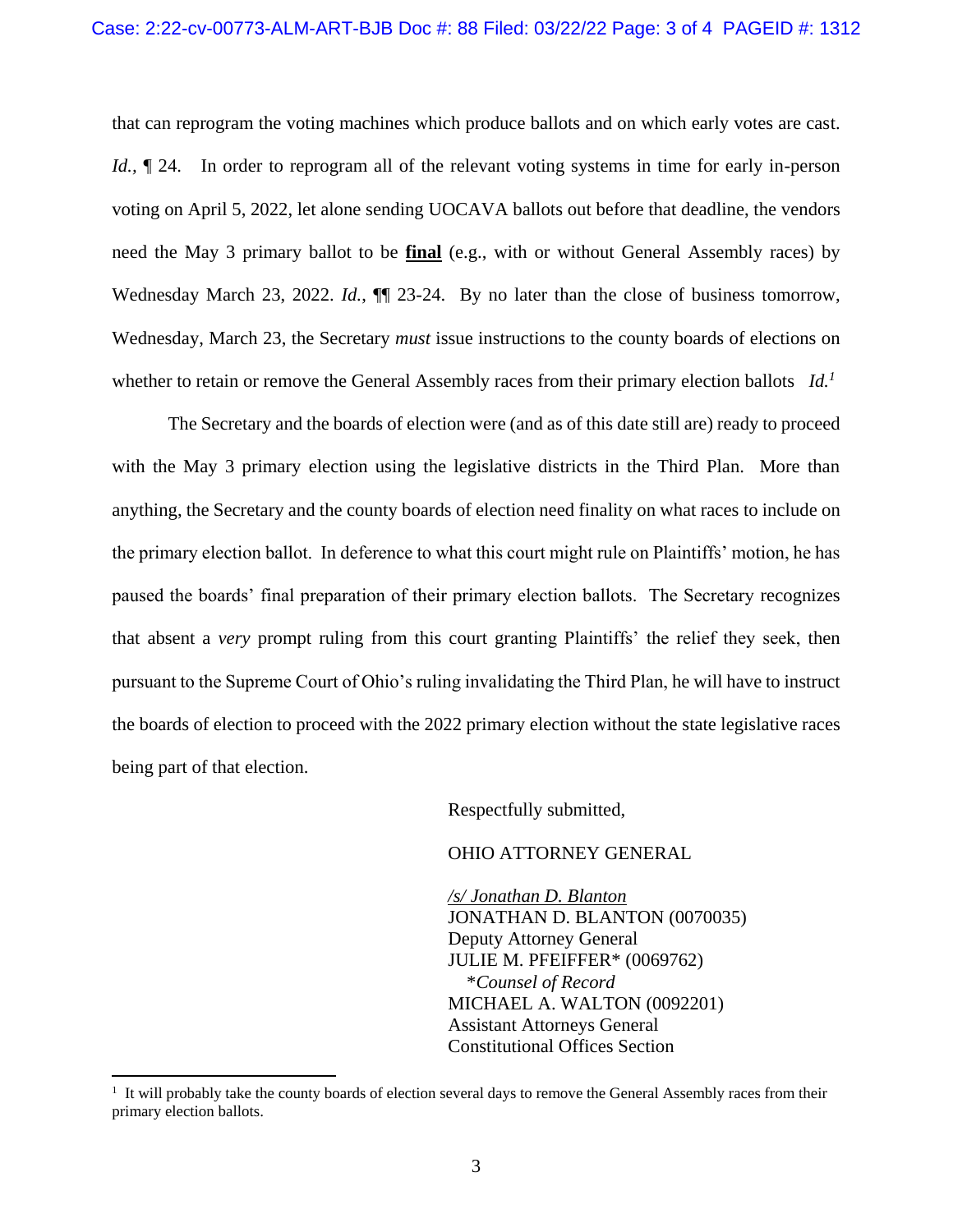that can reprogram the voting machines which produce ballots and on which early votes are cast. *Id.*,  $\P$  24. In order to reprogram all of the relevant voting systems in time for early in-person voting on April 5, 2022, let alone sending UOCAVA ballots out before that deadline, the vendors need the May 3 primary ballot to be **final** (e.g., with or without General Assembly races) by Wednesday March 23, 2022. *Id.*,  $\P\P$  23-24. By no later than the close of business tomorrow, Wednesday, March 23, the Secretary *must* issue instructions to the county boards of elections on whether to retain or remove the General Assembly races from their primary election ballots *Id.<sup>1</sup>*

The Secretary and the boards of election were (and as of this date still are) ready to proceed with the May 3 primary election using the legislative districts in the Third Plan. More than anything, the Secretary and the county boards of election need finality on what races to include on the primary election ballot. In deference to what this court might rule on Plaintiffs' motion, he has paused the boards' final preparation of their primary election ballots. The Secretary recognizes that absent a *very* prompt ruling from this court granting Plaintiffs' the relief they seek, then pursuant to the Supreme Court of Ohio's ruling invalidating the Third Plan, he will have to instruct the boards of election to proceed with the 2022 primary election without the state legislative races being part of that election.

Respectfully submitted,

## OHIO ATTORNEY GENERAL

*/s/ Jonathan D. Blanton* JONATHAN D. BLANTON (0070035) Deputy Attorney General JULIE M. PFEIFFER\* (0069762) \**Counsel of Record* MICHAEL A. WALTON (0092201) Assistant Attorneys General Constitutional Offices Section

 $\overline{a}$ 

<sup>&</sup>lt;sup>1</sup> It will probably take the county boards of election several days to remove the General Assembly races from their primary election ballots.